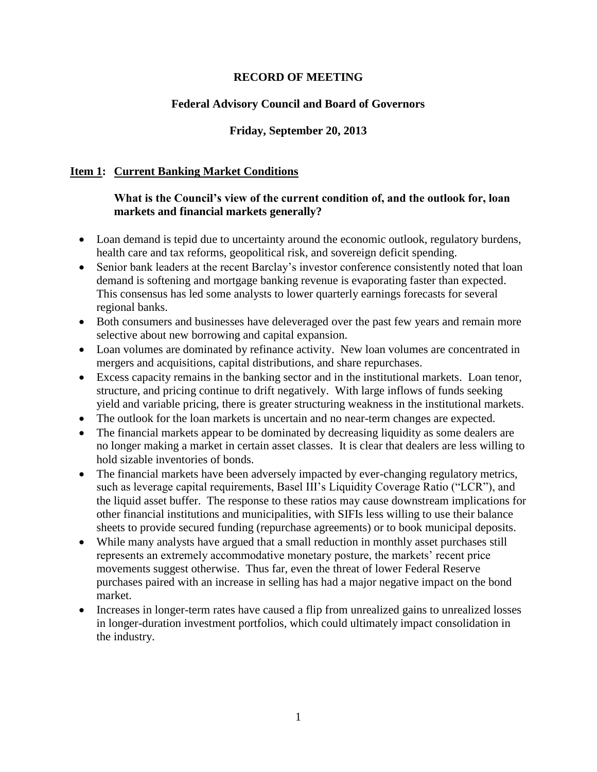### **RECORD OF MEETING**

## **Federal Advisory Council and Board of Governors**

### **Friday, September 20, 2013**

### **Item 1: Current Banking Market Conditions**

### **What is the Council's view of the current condition of, and the outlook for, loan markets and financial markets generally?**

- Loan demand is tepid due to uncertainty around the economic outlook, regulatory burdens, health care and tax reforms, geopolitical risk, and sovereign deficit spending.
- Senior bank leaders at the recent Barclay's investor conference consistently noted that loan demand is softening and mortgage banking revenue is evaporating faster than expected. This consensus has led some analysts to lower quarterly earnings forecasts for several regional banks.
- Both consumers and businesses have deleveraged over the past few years and remain more selective about new borrowing and capital expansion.
- Loan volumes are dominated by refinance activity. New loan volumes are concentrated in mergers and acquisitions, capital distributions, and share repurchases.
- Excess capacity remains in the banking sector and in the institutional markets. Loan tenor, structure, and pricing continue to drift negatively. With large inflows of funds seeking yield and variable pricing, there is greater structuring weakness in the institutional markets.
- The outlook for the loan markets is uncertain and no near-term changes are expected.
- The financial markets appear to be dominated by decreasing liquidity as some dealers are no longer making a market in certain asset classes. It is clear that dealers are less willing to hold sizable inventories of bonds.
- The financial markets have been adversely impacted by ever-changing regulatory metrics, such as leverage capital requirements, Basel III's Liquidity Coverage Ratio ("LCR"), and the liquid asset buffer. The response to these ratios may cause downstream implications for other financial institutions and municipalities, with SIFIs less willing to use their balance sheets to provide secured funding (repurchase agreements) or to book municipal deposits.
- While many analysts have argued that a small reduction in monthly asset purchases still represents an extremely accommodative monetary posture, the markets' recent price movements suggest otherwise. Thus far, even the threat of lower Federal Reserve purchases paired with an increase in selling has had a major negative impact on the bond market.
- Increases in longer-term rates have caused a flip from unrealized gains to unrealized losses in longer-duration investment portfolios, which could ultimately impact consolidation in the industry.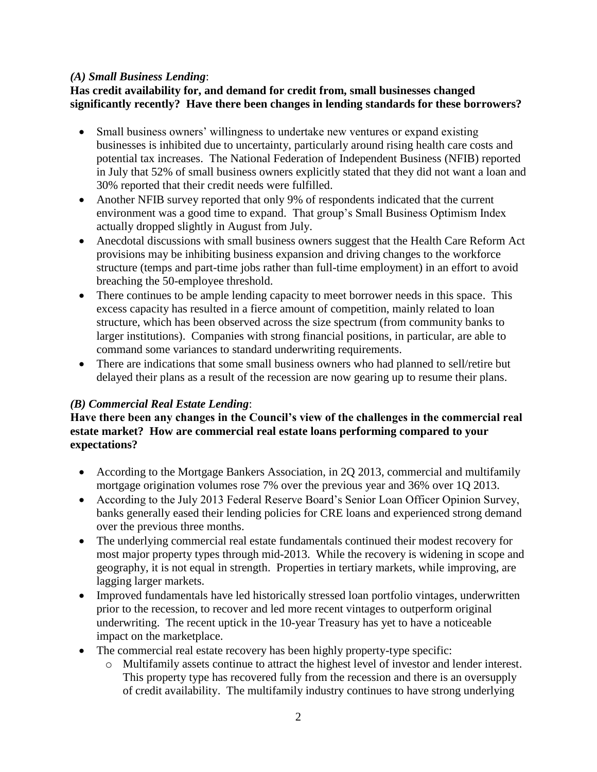### *(A) Small Business Lending*:

## **Has credit availability for, and demand for credit from, small businesses changed significantly recently? Have there been changes in lending standards for these borrowers?**

- Small business owners' willingness to undertake new ventures or expand existing businesses is inhibited due to uncertainty, particularly around rising health care costs and potential tax increases. The National Federation of Independent Business (NFIB) reported in July that 52% of small business owners explicitly stated that they did not want a loan and 30% reported that their credit needs were fulfilled.
- Another NFIB survey reported that only 9% of respondents indicated that the current environment was a good time to expand. That group's Small Business Optimism Index actually dropped slightly in August from July.
- Anecdotal discussions with small business owners suggest that the Health Care Reform Act provisions may be inhibiting business expansion and driving changes to the workforce structure (temps and part-time jobs rather than full-time employment) in an effort to avoid breaching the 50-employee threshold.
- There continues to be ample lending capacity to meet borrower needs in this space. This excess capacity has resulted in a fierce amount of competition, mainly related to loan structure, which has been observed across the size spectrum (from community banks to larger institutions). Companies with strong financial positions, in particular, are able to command some variances to standard underwriting requirements.
- There are indications that some small business owners who had planned to sell/retire but delayed their plans as a result of the recession are now gearing up to resume their plans.

## *(B) Commercial Real Estate Lending*:

## **Have there been any changes in the Council's view of the challenges in the commercial real estate market? How are commercial real estate loans performing compared to your expectations?**

- According to the Mortgage Bankers Association, in 2Q 2013, commercial and multifamily mortgage origination volumes rose 7% over the previous year and 36% over 1Q 2013.
- According to the July 2013 Federal Reserve Board's Senior Loan Officer Opinion Survey, banks generally eased their lending policies for CRE loans and experienced strong demand over the previous three months.
- The underlying commercial real estate fundamentals continued their modest recovery for most major property types through mid-2013. While the recovery is widening in scope and geography, it is not equal in strength. Properties in tertiary markets, while improving, are lagging larger markets.
- Improved fundamentals have led historically stressed loan portfolio vintages, underwritten prior to the recession, to recover and led more recent vintages to outperform original underwriting. The recent uptick in the 10-year Treasury has yet to have a noticeable impact on the marketplace.
- The commercial real estate recovery has been highly property-type specific:
	- o Multifamily assets continue to attract the highest level of investor and lender interest. This property type has recovered fully from the recession and there is an oversupply of credit availability. The multifamily industry continues to have strong underlying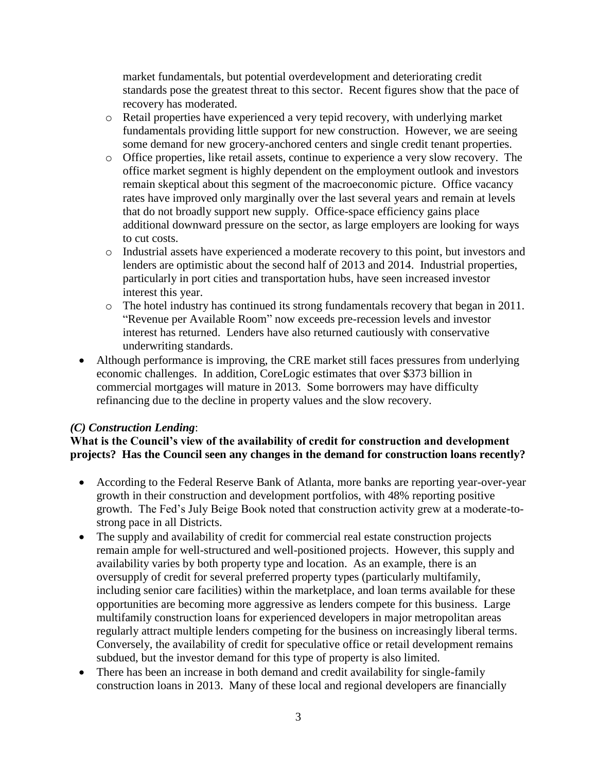market fundamentals, but potential overdevelopment and deteriorating credit standards pose the greatest threat to this sector. Recent figures show that the pace of recovery has moderated.

- o Retail properties have experienced a very tepid recovery, with underlying market fundamentals providing little support for new construction. However, we are seeing some demand for new grocery-anchored centers and single credit tenant properties.
- o Office properties, like retail assets, continue to experience a very slow recovery. The office market segment is highly dependent on the employment outlook and investors remain skeptical about this segment of the macroeconomic picture. Office vacancy rates have improved only marginally over the last several years and remain at levels that do not broadly support new supply. Office-space efficiency gains place additional downward pressure on the sector, as large employers are looking for ways to cut costs.
- o Industrial assets have experienced a moderate recovery to this point, but investors and lenders are optimistic about the second half of 2013 and 2014. Industrial properties, particularly in port cities and transportation hubs, have seen increased investor interest this year.
- o The hotel industry has continued its strong fundamentals recovery that began in 2011. "Revenue per Available Room" now exceeds pre-recession levels and investor interest has returned. Lenders have also returned cautiously with conservative underwriting standards.
- Although performance is improving, the CRE market still faces pressures from underlying economic challenges. In addition, CoreLogic estimates that over \$373 billion in commercial mortgages will mature in 2013. Some borrowers may have difficulty refinancing due to the decline in property values and the slow recovery.

## *(C) Construction Lending*:

## **What is the Council's view of the availability of credit for construction and development projects? Has the Council seen any changes in the demand for construction loans recently?**

- According to the Federal Reserve Bank of Atlanta, more banks are reporting year-over-year growth in their construction and development portfolios, with 48% reporting positive growth. The Fed's July Beige Book noted that construction activity grew at a moderate-tostrong pace in all Districts.
- The supply and availability of credit for commercial real estate construction projects remain ample for well-structured and well-positioned projects. However, this supply and availability varies by both property type and location. As an example, there is an oversupply of credit for several preferred property types (particularly multifamily, including senior care facilities) within the marketplace, and loan terms available for these opportunities are becoming more aggressive as lenders compete for this business. Large multifamily construction loans for experienced developers in major metropolitan areas regularly attract multiple lenders competing for the business on increasingly liberal terms. Conversely, the availability of credit for speculative office or retail development remains subdued, but the investor demand for this type of property is also limited.
- There has been an increase in both demand and credit availability for single-family construction loans in 2013. Many of these local and regional developers are financially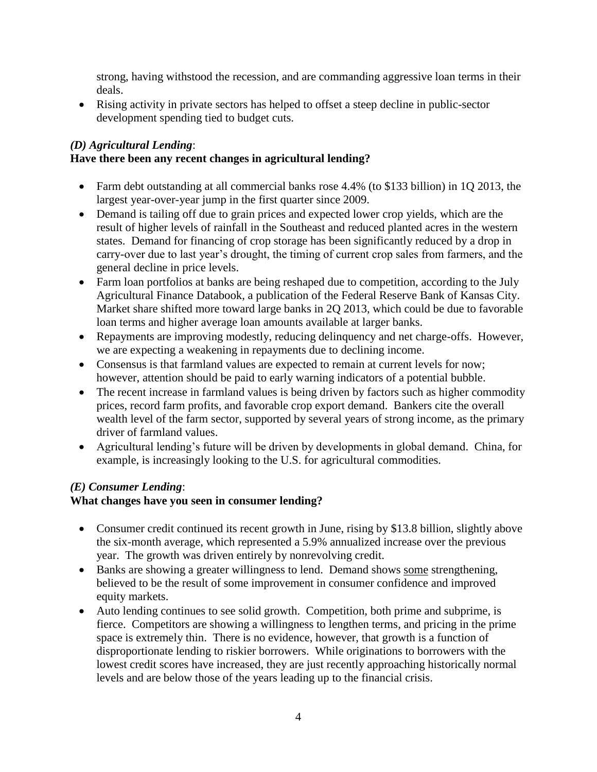strong, having withstood the recession, and are commanding aggressive loan terms in their deals.

 Rising activity in private sectors has helped to offset a steep decline in public-sector development spending tied to budget cuts.

# *(D) Agricultural Lending*:

## **Have there been any recent changes in agricultural lending?**

- Farm debt outstanding at all commercial banks rose 4.4% (to \$133 billion) in 1Q 2013, the largest year-over-year jump in the first quarter since 2009.
- Demand is tailing off due to grain prices and expected lower crop yields, which are the result of higher levels of rainfall in the Southeast and reduced planted acres in the western states. Demand for financing of crop storage has been significantly reduced by a drop in carry-over due to last year's drought, the timing of current crop sales from farmers, and the general decline in price levels.
- Farm loan portfolios at banks are being reshaped due to competition, according to the July Agricultural Finance Databook, a publication of the Federal Reserve Bank of Kansas City. Market share shifted more toward large banks in 2Q 2013, which could be due to favorable loan terms and higher average loan amounts available at larger banks.
- Repayments are improving modestly, reducing delinquency and net charge-offs. However, we are expecting a weakening in repayments due to declining income.
- Consensus is that farmland values are expected to remain at current levels for now; however, attention should be paid to early warning indicators of a potential bubble.
- The recent increase in farmland values is being driven by factors such as higher commodity prices, record farm profits, and favorable crop export demand. Bankers cite the overall wealth level of the farm sector, supported by several years of strong income, as the primary driver of farmland values.
- Agricultural lending's future will be driven by developments in global demand. China, for example, is increasingly looking to the U.S. for agricultural commodities.

## *(E) Consumer Lending*:

## **What changes have you seen in consumer lending?**

- Consumer credit continued its recent growth in June, rising by \$13.8 billion, slightly above the six-month average, which represented a 5.9% annualized increase over the previous year. The growth was driven entirely by nonrevolving credit.
- Banks are showing a greater willingness to lend. Demand shows some strengthening, believed to be the result of some improvement in consumer confidence and improved equity markets.
- Auto lending continues to see solid growth. Competition, both prime and subprime, is fierce. Competitors are showing a willingness to lengthen terms, and pricing in the prime space is extremely thin. There is no evidence, however, that growth is a function of disproportionate lending to riskier borrowers. While originations to borrowers with the lowest credit scores have increased, they are just recently approaching historically normal levels and are below those of the years leading up to the financial crisis.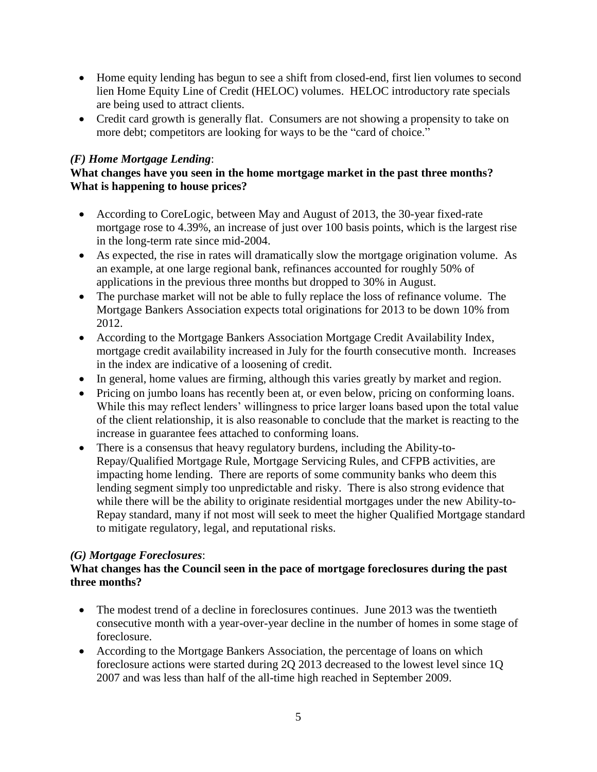- Home equity lending has begun to see a shift from closed-end, first lien volumes to second lien Home Equity Line of Credit (HELOC) volumes. HELOC introductory rate specials are being used to attract clients.
- Credit card growth is generally flat. Consumers are not showing a propensity to take on more debt; competitors are looking for ways to be the "card of choice."

# *(F) Home Mortgage Lending*:

## **What changes have you seen in the home mortgage market in the past three months? What is happening to house prices?**

- According to CoreLogic, between May and August of 2013, the 30-year fixed-rate mortgage rose to 4.39%, an increase of just over 100 basis points, which is the largest rise in the long-term rate since mid-2004.
- As expected, the rise in rates will dramatically slow the mortgage origination volume. As an example, at one large regional bank, refinances accounted for roughly 50% of applications in the previous three months but dropped to 30% in August.
- The purchase market will not be able to fully replace the loss of refinance volume. The Mortgage Bankers Association expects total originations for 2013 to be down 10% from 2012.
- According to the Mortgage Bankers Association Mortgage Credit Availability Index, mortgage credit availability increased in July for the fourth consecutive month. Increases in the index are indicative of a loosening of credit.
- In general, home values are firming, although this varies greatly by market and region.
- Pricing on jumbo loans has recently been at, or even below, pricing on conforming loans. While this may reflect lenders' willingness to price larger loans based upon the total value of the client relationship, it is also reasonable to conclude that the market is reacting to the increase in guarantee fees attached to conforming loans.
- There is a consensus that heavy regulatory burdens, including the Ability-to-Repay/Qualified Mortgage Rule, Mortgage Servicing Rules, and CFPB activities, are impacting home lending. There are reports of some community banks who deem this lending segment simply too unpredictable and risky. There is also strong evidence that while there will be the ability to originate residential mortgages under the new Ability-to-Repay standard, many if not most will seek to meet the higher Qualified Mortgage standard to mitigate regulatory, legal, and reputational risks.

## *(G) Mortgage Foreclosures*:

## **What changes has the Council seen in the pace of mortgage foreclosures during the past three months?**

- The modest trend of a decline in foreclosures continues. June 2013 was the twentieth consecutive month with a year-over-year decline in the number of homes in some stage of foreclosure.
- According to the Mortgage Bankers Association, the percentage of loans on which foreclosure actions were started during 2Q 2013 decreased to the lowest level since 1Q 2007 and was less than half of the all-time high reached in September 2009.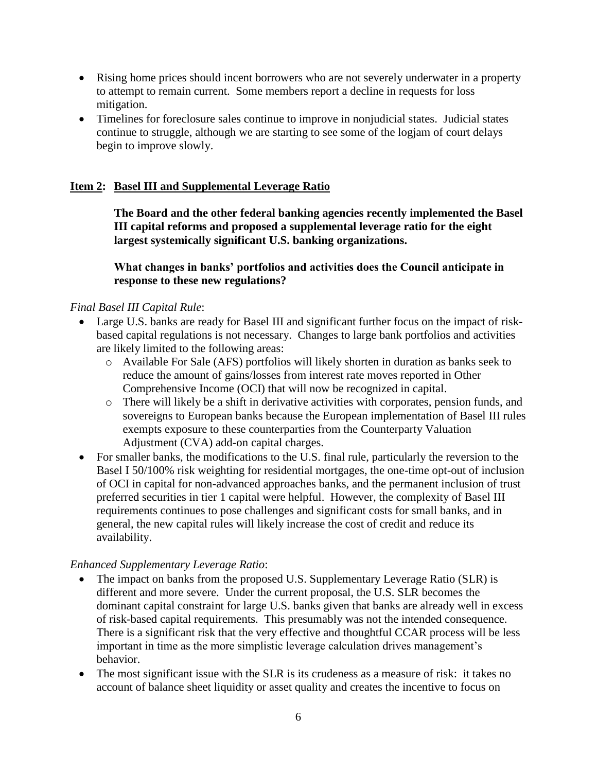- Rising home prices should incent borrowers who are not severely underwater in a property to attempt to remain current. Some members report a decline in requests for loss mitigation.
- Timelines for foreclosure sales continue to improve in nonjudicial states. Judicial states continue to struggle, although we are starting to see some of the logjam of court delays begin to improve slowly.

### **Item 2: Basel III and Supplemental Leverage Ratio**

**The Board and the other federal banking agencies recently implemented the Basel III capital reforms and proposed a supplemental leverage ratio for the eight largest systemically significant U.S. banking organizations.** 

**What changes in banks' portfolios and activities does the Council anticipate in response to these new regulations?** 

### *Final Basel III Capital Rule*:

- Large U.S. banks are ready for Basel III and significant further focus on the impact of riskbased capital regulations is not necessary. Changes to large bank portfolios and activities are likely limited to the following areas:
	- o Available For Sale (AFS) portfolios will likely shorten in duration as banks seek to reduce the amount of gains/losses from interest rate moves reported in Other Comprehensive Income (OCI) that will now be recognized in capital.
	- o There will likely be a shift in derivative activities with corporates, pension funds, and sovereigns to European banks because the European implementation of Basel III rules exempts exposure to these counterparties from the Counterparty Valuation Adjustment (CVA) add-on capital charges.
- For smaller banks, the modifications to the U.S. final rule, particularly the reversion to the Basel I 50/100% risk weighting for residential mortgages, the one-time opt-out of inclusion of OCI in capital for non-advanced approaches banks, and the permanent inclusion of trust preferred securities in tier 1 capital were helpful. However, the complexity of Basel III requirements continues to pose challenges and significant costs for small banks, and in general, the new capital rules will likely increase the cost of credit and reduce its availability.

### *Enhanced Supplementary Leverage Ratio*:

- The impact on banks from the proposed U.S. Supplementary Leverage Ratio (SLR) is different and more severe. Under the current proposal, the U.S. SLR becomes the dominant capital constraint for large U.S. banks given that banks are already well in excess of risk-based capital requirements. This presumably was not the intended consequence. There is a significant risk that the very effective and thoughtful CCAR process will be less important in time as the more simplistic leverage calculation drives management's behavior.
- The most significant issue with the SLR is its crudeness as a measure of risk: it takes no account of balance sheet liquidity or asset quality and creates the incentive to focus on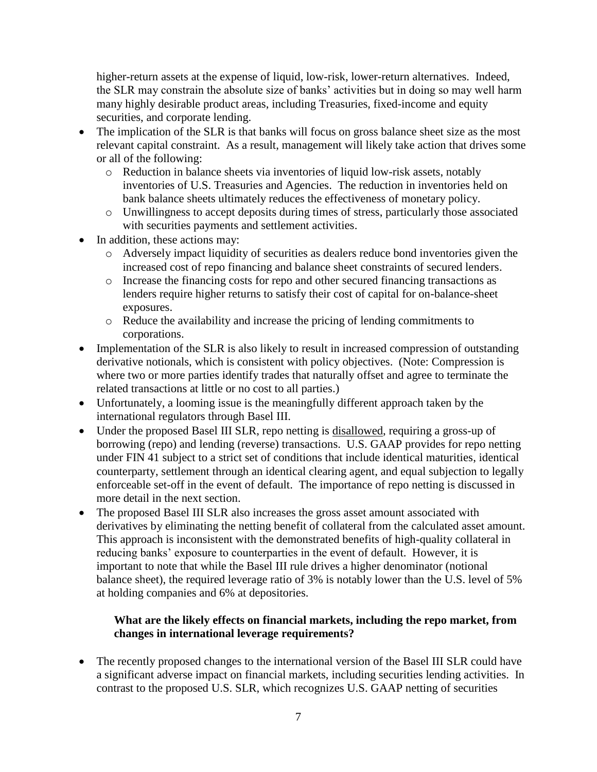higher-return assets at the expense of liquid, low-risk, lower-return alternatives. Indeed, the SLR may constrain the absolute size of banks' activities but in doing so may well harm many highly desirable product areas, including Treasuries, fixed-income and equity securities, and corporate lending.

- The implication of the SLR is that banks will focus on gross balance sheet size as the most relevant capital constraint. As a result, management will likely take action that drives some or all of the following:
	- o Reduction in balance sheets via inventories of liquid low-risk assets, notably inventories of U.S. Treasuries and Agencies. The reduction in inventories held on bank balance sheets ultimately reduces the effectiveness of monetary policy.
	- o Unwillingness to accept deposits during times of stress, particularly those associated with securities payments and settlement activities.
- In addition, these actions may:
	- o Adversely impact liquidity of securities as dealers reduce bond inventories given the increased cost of repo financing and balance sheet constraints of secured lenders.
	- o Increase the financing costs for repo and other secured financing transactions as lenders require higher returns to satisfy their cost of capital for on-balance-sheet exposures.
	- o Reduce the availability and increase the pricing of lending commitments to corporations.
- Implementation of the SLR is also likely to result in increased compression of outstanding derivative notionals, which is consistent with policy objectives. (Note: Compression is where two or more parties identify trades that naturally offset and agree to terminate the related transactions at little or no cost to all parties.)
- Unfortunately, a looming issue is the meaningfully different approach taken by the international regulators through Basel III.
- Under the proposed Basel III SLR, repo netting is disallowed, requiring a gross-up of borrowing (repo) and lending (reverse) transactions. U.S. GAAP provides for repo netting under FIN 41 subject to a strict set of conditions that include identical maturities, identical counterparty, settlement through an identical clearing agent, and equal subjection to legally enforceable set-off in the event of default. The importance of repo netting is discussed in more detail in the next section.
- The proposed Basel III SLR also increases the gross asset amount associated with derivatives by eliminating the netting benefit of collateral from the calculated asset amount. This approach is inconsistent with the demonstrated benefits of high-quality collateral in reducing banks' exposure to counterparties in the event of default. However, it is important to note that while the Basel III rule drives a higher denominator (notional balance sheet), the required leverage ratio of 3% is notably lower than the U.S. level of 5% at holding companies and 6% at depositories.

## **What are the likely effects on financial markets, including the repo market, from changes in international leverage requirements?**

• The recently proposed changes to the international version of the Basel III SLR could have a significant adverse impact on financial markets, including securities lending activities. In contrast to the proposed U.S. SLR, which recognizes U.S. GAAP netting of securities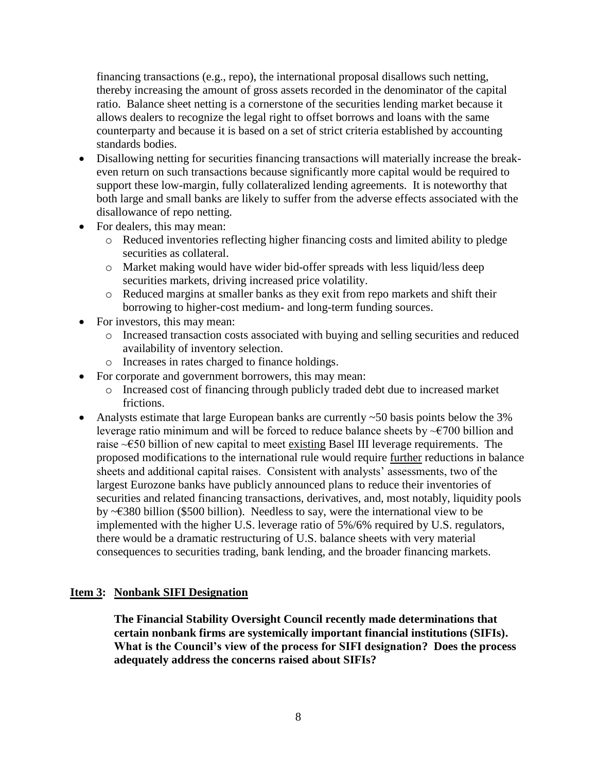financing transactions (e.g., repo), the international proposal disallows such netting, thereby increasing the amount of gross assets recorded in the denominator of the capital ratio. Balance sheet netting is a cornerstone of the securities lending market because it allows dealers to recognize the legal right to offset borrows and loans with the same counterparty and because it is based on a set of strict criteria established by accounting standards bodies.

- Disallowing netting for securities financing transactions will materially increase the breakeven return on such transactions because significantly more capital would be required to support these low-margin, fully collateralized lending agreements. It is noteworthy that both large and small banks are likely to suffer from the adverse effects associated with the disallowance of repo netting.
- For dealers, this may mean:
	- o Reduced inventories reflecting higher financing costs and limited ability to pledge securities as collateral.
	- o Market making would have wider bid-offer spreads with less liquid/less deep securities markets, driving increased price volatility.
	- o Reduced margins at smaller banks as they exit from repo markets and shift their borrowing to higher-cost medium- and long-term funding sources.
- For investors, this may mean:
	- o Increased transaction costs associated with buying and selling securities and reduced availability of inventory selection.
	- o Increases in rates charged to finance holdings.
- For corporate and government borrowers, this may mean:
	- o Increased cost of financing through publicly traded debt due to increased market frictions.
- Analysts estimate that large European banks are currently ~50 basis points below the 3% leverage ratio minimum and will be forced to reduce balance sheets by  $\sim 000$  billion and raise ~€50 billion of new capital to meet existing Basel III leverage requirements. The proposed modifications to the international rule would require further reductions in balance sheets and additional capital raises. Consistent with analysts' assessments, two of the largest Eurozone banks have publicly announced plans to reduce their inventories of securities and related financing transactions, derivatives, and, most notably, liquidity pools by ~€380 billion (\$500 billion). Needless to say, were the international view to be implemented with the higher U.S. leverage ratio of 5%/6% required by U.S. regulators, there would be a dramatic restructuring of U.S. balance sheets with very material consequences to securities trading, bank lending, and the broader financing markets.

#### **Item 3: Nonbank SIFI Designation**

**The Financial Stability Oversight Council recently made determinations that certain nonbank firms are systemically important financial institutions (SIFIs). What is the Council's view of the process for SIFI designation? Does the process adequately address the concerns raised about SIFIs?**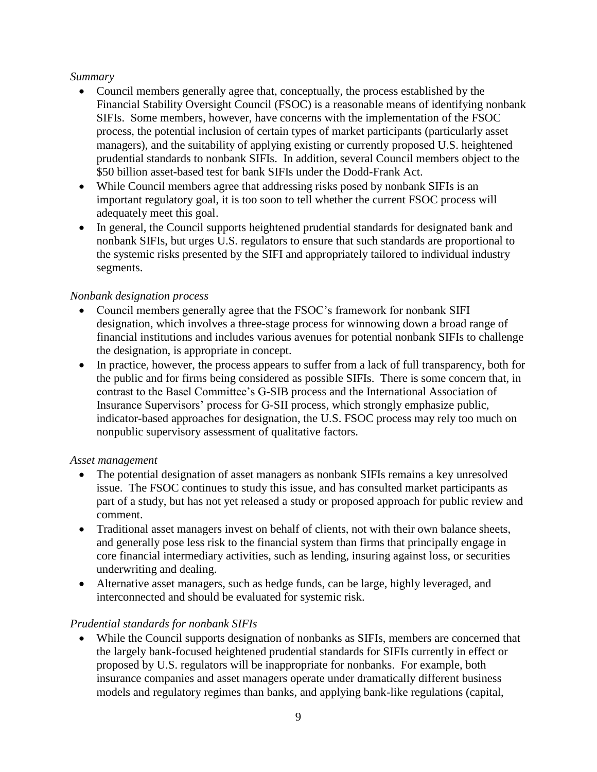### *Summary*

- Council members generally agree that, conceptually, the process established by the Financial Stability Oversight Council (FSOC) is a reasonable means of identifying nonbank SIFIs. Some members, however, have concerns with the implementation of the FSOC process, the potential inclusion of certain types of market participants (particularly asset managers), and the suitability of applying existing or currently proposed U.S. heightened prudential standards to nonbank SIFIs. In addition, several Council members object to the \$50 billion asset-based test for bank SIFIs under the Dodd-Frank Act.
- While Council members agree that addressing risks posed by nonbank SIFIs is an important regulatory goal, it is too soon to tell whether the current FSOC process will adequately meet this goal.
- In general, the Council supports heightened prudential standards for designated bank and nonbank SIFIs, but urges U.S. regulators to ensure that such standards are proportional to the systemic risks presented by the SIFI and appropriately tailored to individual industry segments.

### *Nonbank designation process*

- Council members generally agree that the FSOC's framework for nonbank SIFI designation, which involves a three-stage process for winnowing down a broad range of financial institutions and includes various avenues for potential nonbank SIFIs to challenge the designation, is appropriate in concept.
- In practice, however, the process appears to suffer from a lack of full transparency, both for the public and for firms being considered as possible SIFIs. There is some concern that, in contrast to the Basel Committee's G-SIB process and the International Association of Insurance Supervisors' process for G-SII process, which strongly emphasize public, indicator-based approaches for designation, the U.S. FSOC process may rely too much on nonpublic supervisory assessment of qualitative factors.

### *Asset management*

- The potential designation of asset managers as nonbank SIFIs remains a key unresolved issue. The FSOC continues to study this issue, and has consulted market participants as part of a study, but has not yet released a study or proposed approach for public review and comment.
- Traditional asset managers invest on behalf of clients, not with their own balance sheets, and generally pose less risk to the financial system than firms that principally engage in core financial intermediary activities, such as lending, insuring against loss, or securities underwriting and dealing.
- Alternative asset managers, such as hedge funds, can be large, highly leveraged, and interconnected and should be evaluated for systemic risk.

## *Prudential standards for nonbank SIFIs*

 While the Council supports designation of nonbanks as SIFIs, members are concerned that the largely bank-focused heightened prudential standards for SIFIs currently in effect or proposed by U.S. regulators will be inappropriate for nonbanks. For example, both insurance companies and asset managers operate under dramatically different business models and regulatory regimes than banks, and applying bank-like regulations (capital,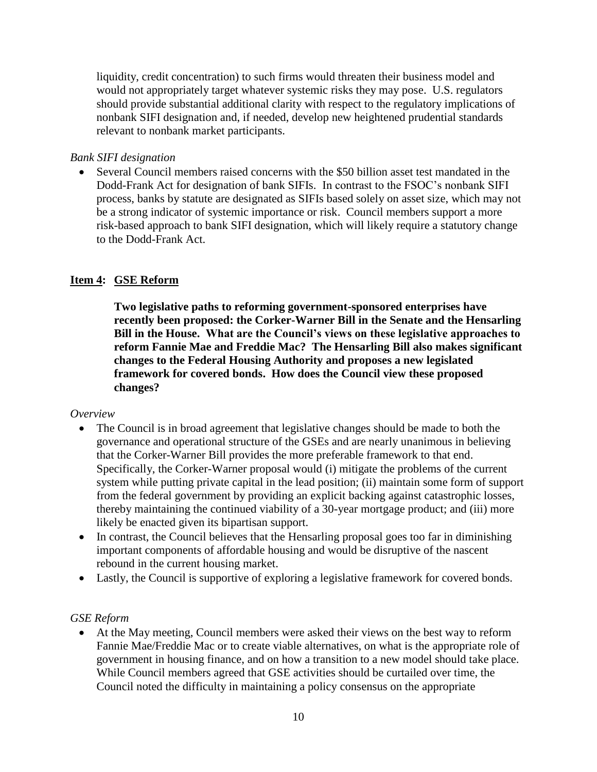liquidity, credit concentration) to such firms would threaten their business model and would not appropriately target whatever systemic risks they may pose. U.S. regulators should provide substantial additional clarity with respect to the regulatory implications of nonbank SIFI designation and, if needed, develop new heightened prudential standards relevant to nonbank market participants.

### *Bank SIFI designation*

 Several Council members raised concerns with the \$50 billion asset test mandated in the Dodd-Frank Act for designation of bank SIFIs. In contrast to the FSOC's nonbank SIFI process, banks by statute are designated as SIFIs based solely on asset size, which may not be a strong indicator of systemic importance or risk. Council members support a more risk-based approach to bank SIFI designation, which will likely require a statutory change to the Dodd-Frank Act.

### **Item 4: GSE Reform**

**Two legislative paths to reforming government-sponsored enterprises have recently been proposed: the Corker-Warner Bill in the Senate and the Hensarling Bill in the House. What are the Council's views on these legislative approaches to reform Fannie Mae and Freddie Mac? The Hensarling Bill also makes significant changes to the Federal Housing Authority and proposes a new legislated framework for covered bonds. How does the Council view these proposed changes?** 

### *Overview*

- The Council is in broad agreement that legislative changes should be made to both the governance and operational structure of the GSEs and are nearly unanimous in believing that the Corker-Warner Bill provides the more preferable framework to that end. Specifically, the Corker-Warner proposal would (i) mitigate the problems of the current system while putting private capital in the lead position; (ii) maintain some form of support from the federal government by providing an explicit backing against catastrophic losses, thereby maintaining the continued viability of a 30-year mortgage product; and (iii) more likely be enacted given its bipartisan support.
- In contrast, the Council believes that the Hensarling proposal goes too far in diminishing important components of affordable housing and would be disruptive of the nascent rebound in the current housing market.
- Lastly, the Council is supportive of exploring a legislative framework for covered bonds.

### *GSE Reform*

 At the May meeting, Council members were asked their views on the best way to reform Fannie Mae/Freddie Mac or to create viable alternatives, on what is the appropriate role of government in housing finance, and on how a transition to a new model should take place. While Council members agreed that GSE activities should be curtailed over time, the Council noted the difficulty in maintaining a policy consensus on the appropriate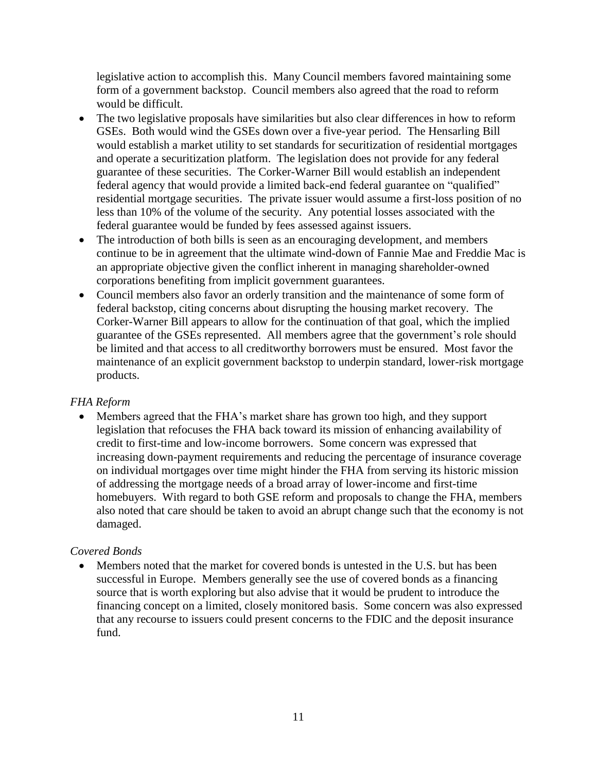legislative action to accomplish this. Many Council members favored maintaining some form of a government backstop. Council members also agreed that the road to reform would be difficult.

- The two legislative proposals have similarities but also clear differences in how to reform GSEs. Both would wind the GSEs down over a five-year period. The Hensarling Bill would establish a market utility to set standards for securitization of residential mortgages and operate a securitization platform. The legislation does not provide for any federal guarantee of these securities. The Corker-Warner Bill would establish an independent federal agency that would provide a limited back-end federal guarantee on "qualified" residential mortgage securities. The private issuer would assume a first-loss position of no less than 10% of the volume of the security. Any potential losses associated with the federal guarantee would be funded by fees assessed against issuers.
- The introduction of both bills is seen as an encouraging development, and members continue to be in agreement that the ultimate wind-down of Fannie Mae and Freddie Mac is an appropriate objective given the conflict inherent in managing shareholder-owned corporations benefiting from implicit government guarantees.
- Council members also favor an orderly transition and the maintenance of some form of federal backstop, citing concerns about disrupting the housing market recovery. The Corker-Warner Bill appears to allow for the continuation of that goal, which the implied guarantee of the GSEs represented. All members agree that the government's role should be limited and that access to all creditworthy borrowers must be ensured. Most favor the maintenance of an explicit government backstop to underpin standard, lower-risk mortgage products.

## *FHA Reform*

 Members agreed that the FHA's market share has grown too high, and they support legislation that refocuses the FHA back toward its mission of enhancing availability of credit to first-time and low-income borrowers. Some concern was expressed that increasing down-payment requirements and reducing the percentage of insurance coverage on individual mortgages over time might hinder the FHA from serving its historic mission of addressing the mortgage needs of a broad array of lower-income and first-time homebuyers. With regard to both GSE reform and proposals to change the FHA, members also noted that care should be taken to avoid an abrupt change such that the economy is not damaged.

# *Covered Bonds*

 Members noted that the market for covered bonds is untested in the U.S. but has been successful in Europe. Members generally see the use of covered bonds as a financing source that is worth exploring but also advise that it would be prudent to introduce the financing concept on a limited, closely monitored basis. Some concern was also expressed that any recourse to issuers could present concerns to the FDIC and the deposit insurance fund.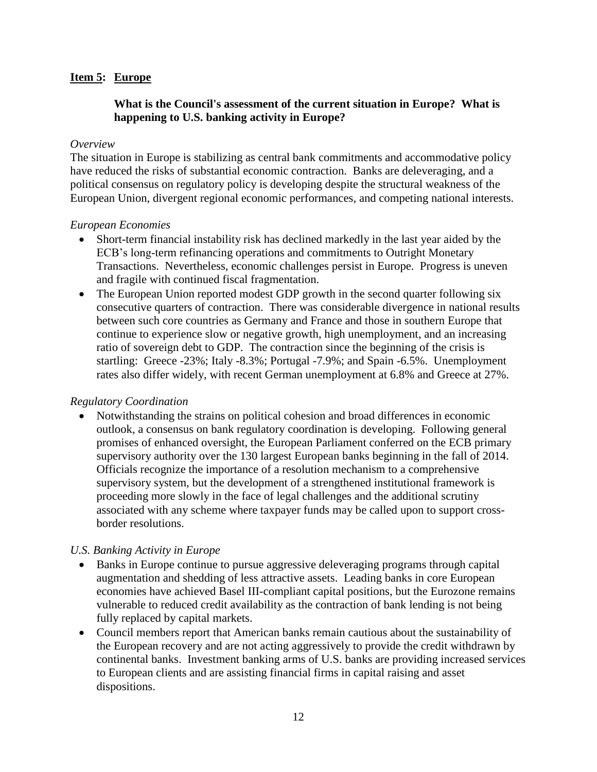### **Item 5: Europe**

### **What is the Council's assessment of the current situation in Europe? What is happening to U.S. banking activity in Europe?**

#### *Overview*

The situation in Europe is stabilizing as central bank commitments and accommodative policy have reduced the risks of substantial economic contraction. Banks are deleveraging, and a political consensus on regulatory policy is developing despite the structural weakness of the European Union, divergent regional economic performances, and competing national interests.

### *European Economies*

- Short-term financial instability risk has declined markedly in the last year aided by the ECB's long-term refinancing operations and commitments to Outright Monetary Transactions. Nevertheless, economic challenges persist in Europe. Progress is uneven and fragile with continued fiscal fragmentation.
- The European Union reported modest GDP growth in the second quarter following six consecutive quarters of contraction. There was considerable divergence in national results between such core countries as Germany and France and those in southern Europe that continue to experience slow or negative growth, high unemployment, and an increasing ratio of sovereign debt to GDP. The contraction since the beginning of the crisis is startling: Greece -23%; Italy -8.3%; Portugal -7.9%; and Spain -6.5%. Unemployment rates also differ widely, with recent German unemployment at 6.8% and Greece at 27%.

### *Regulatory Coordination*

 Notwithstanding the strains on political cohesion and broad differences in economic outlook, a consensus on bank regulatory coordination is developing. Following general promises of enhanced oversight, the European Parliament conferred on the ECB primary supervisory authority over the 130 largest European banks beginning in the fall of 2014. Officials recognize the importance of a resolution mechanism to a comprehensive supervisory system, but the development of a strengthened institutional framework is proceeding more slowly in the face of legal challenges and the additional scrutiny associated with any scheme where taxpayer funds may be called upon to support crossborder resolutions.

### *U.S. Banking Activity in Europe*

- Banks in Europe continue to pursue aggressive deleveraging programs through capital augmentation and shedding of less attractive assets. Leading banks in core European economies have achieved Basel III-compliant capital positions, but the Eurozone remains vulnerable to reduced credit availability as the contraction of bank lending is not being fully replaced by capital markets.
- Council members report that American banks remain cautious about the sustainability of the European recovery and are not acting aggressively to provide the credit withdrawn by continental banks. Investment banking arms of U.S. banks are providing increased services to European clients and are assisting financial firms in capital raising and asset dispositions.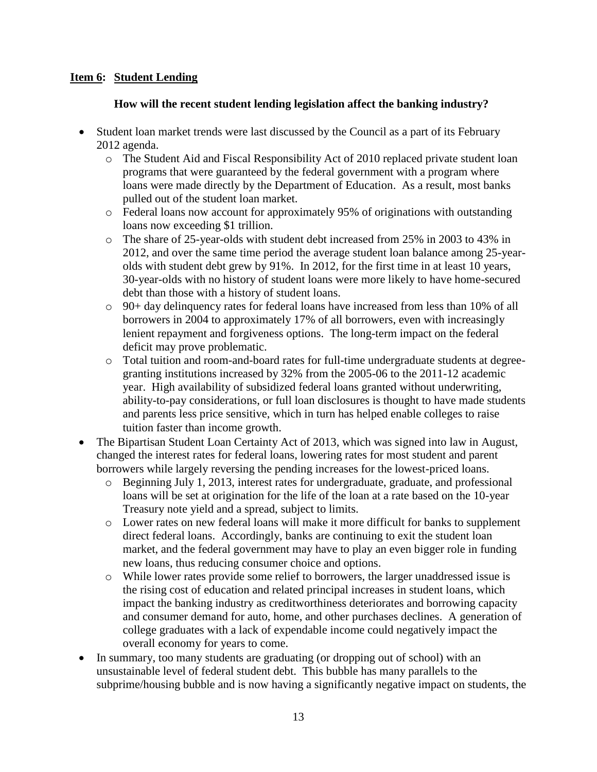## **Item 6: Student Lending**

## **How will the recent student lending legislation affect the banking industry?**

- Student loan market trends were last discussed by the Council as a part of its February 2012 agenda.
	- o The Student Aid and Fiscal Responsibility Act of 2010 replaced private student loan programs that were guaranteed by the federal government with a program where loans were made directly by the Department of Education. As a result, most banks pulled out of the student loan market.
	- o Federal loans now account for approximately 95% of originations with outstanding loans now exceeding \$1 trillion.
	- o The share of 25-year-olds with student debt increased from 25% in 2003 to 43% in 2012, and over the same time period the average student loan balance among 25-yearolds with student debt grew by 91%. In 2012, for the first time in at least 10 years, 30-year-olds with no history of student loans were more likely to have home-secured debt than those with a history of student loans.
	- $\circ$  90+ day delinquency rates for federal loans have increased from less than 10% of all borrowers in 2004 to approximately 17% of all borrowers, even with increasingly lenient repayment and forgiveness options. The long-term impact on the federal deficit may prove problematic.
	- o Total tuition and room-and-board rates for full-time undergraduate students at degreegranting institutions increased by 32% from the 2005-06 to the 2011-12 academic year. High availability of subsidized federal loans granted without underwriting, ability-to-pay considerations, or full loan disclosures is thought to have made students and parents less price sensitive, which in turn has helped enable colleges to raise tuition faster than income growth.
- The Bipartisan Student Loan Certainty Act of 2013, which was signed into law in August, changed the interest rates for federal loans, lowering rates for most student and parent borrowers while largely reversing the pending increases for the lowest-priced loans.
	- o Beginning July 1, 2013, interest rates for undergraduate, graduate, and professional loans will be set at origination for the life of the loan at a rate based on the 10-year Treasury note yield and a spread, subject to limits.
	- o Lower rates on new federal loans will make it more difficult for banks to supplement direct federal loans. Accordingly, banks are continuing to exit the student loan market, and the federal government may have to play an even bigger role in funding new loans, thus reducing consumer choice and options.
	- o While lower rates provide some relief to borrowers, the larger unaddressed issue is the rising cost of education and related principal increases in student loans, which impact the banking industry as creditworthiness deteriorates and borrowing capacity and consumer demand for auto, home, and other purchases declines. A generation of college graduates with a lack of expendable income could negatively impact the overall economy for years to come.
- In summary, too many students are graduating (or dropping out of school) with an unsustainable level of federal student debt. This bubble has many parallels to the subprime/housing bubble and is now having a significantly negative impact on students, the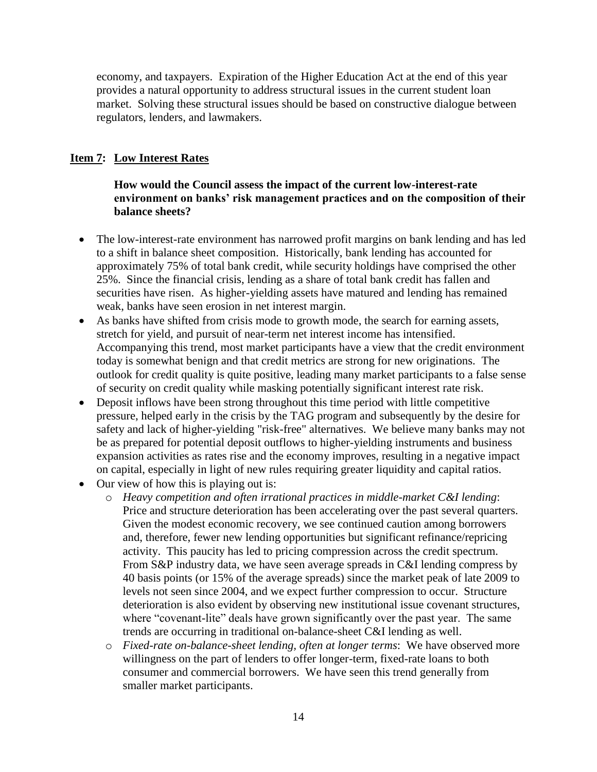economy, and taxpayers. Expiration of the Higher Education Act at the end of this year provides a natural opportunity to address structural issues in the current student loan market. Solving these structural issues should be based on constructive dialogue between regulators, lenders, and lawmakers.

## **Item 7: Low Interest Rates**

**How would the Council assess the impact of the current low-interest-rate environment on banks' risk management practices and on the composition of their balance sheets?**

- The low-interest-rate environment has narrowed profit margins on bank lending and has led to a shift in balance sheet composition. Historically, bank lending has accounted for approximately 75% of total bank credit, while security holdings have comprised the other 25%. Since the financial crisis, lending as a share of total bank credit has fallen and securities have risen. As higher-yielding assets have matured and lending has remained weak, banks have seen erosion in net interest margin.
- As banks have shifted from crisis mode to growth mode, the search for earning assets, stretch for yield, and pursuit of near-term net interest income has intensified. Accompanying this trend, most market participants have a view that the credit environment today is somewhat benign and that credit metrics are strong for new originations. The outlook for credit quality is quite positive, leading many market participants to a false sense of security on credit quality while masking potentially significant interest rate risk.
- Deposit inflows have been strong throughout this time period with little competitive pressure, helped early in the crisis by the TAG program and subsequently by the desire for safety and lack of higher-yielding "risk-free" alternatives. We believe many banks may not be as prepared for potential deposit outflows to higher-yielding instruments and business expansion activities as rates rise and the economy improves, resulting in a negative impact on capital, especially in light of new rules requiring greater liquidity and capital ratios.
- Our view of how this is playing out is:
	- o *Heavy competition and often irrational practices in middle-market C&I lending*: Price and structure deterioration has been accelerating over the past several quarters. Given the modest economic recovery, we see continued caution among borrowers and, therefore, fewer new lending opportunities but significant refinance/repricing activity. This paucity has led to pricing compression across the credit spectrum. From S&P industry data, we have seen average spreads in C&I lending compress by 40 basis points (or 15% of the average spreads) since the market peak of late 2009 to levels not seen since 2004, and we expect further compression to occur. Structure deterioration is also evident by observing new institutional issue covenant structures, where "covenant-lite" deals have grown significantly over the past year. The same trends are occurring in traditional on-balance-sheet C&I lending as well.
	- o *Fixed-rate on-balance-sheet lending, often at longer terms*: We have observed more willingness on the part of lenders to offer longer-term, fixed-rate loans to both consumer and commercial borrowers. We have seen this trend generally from smaller market participants.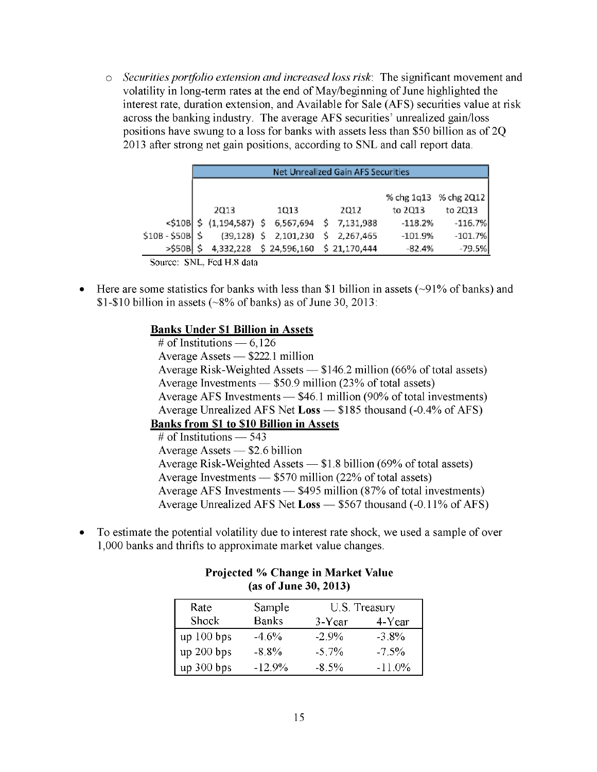o *Securities portfolio extension and increased loss risk:* The significant movement and volatility in long-term rates at the end of May/beginning of June highlighted the interest rate, duration extension, and Available for Sale (AFS) securities value at risk across the banking industry. The average AFS securities' unrealized gain/loss positions have swung to a loss for banks with assets less than \$50 billion as of 2Q 2013 after strong net gain positions, according to SNL and call report data.

|                      | Net Unrealized Gain AFS Securities |      |  |                                                    |  |             |                       |           |
|----------------------|------------------------------------|------|--|----------------------------------------------------|--|-------------|-----------------------|-----------|
|                      |                                    |      |  |                                                    |  |             |                       |           |
|                      |                                    |      |  |                                                    |  |             | % chg 1q13 % chg 2Q12 |           |
|                      |                                    | 2013 |  | 1013                                               |  | 2012        | to 2013               | to 2Q13   |
|                      |                                    |      |  | $<$ \$10B \$ (1,194,587) \$ 6,567,694 \$ 7,131,988 |  |             | $-118.2%$             | $-116.7%$ |
| $$10B - $50B$ \$     |                                    |      |  | $(39, 128)$ \$ 2,101,230                           |  | \$2,267,465 | $-101.9%$             | $-101.7%$ |
| $>$ \$50B $\vert$ \$ |                                    |      |  | 4,332,228 \$ 24,596,160 \$ 21,170,444              |  |             | $-82.4%$              | $-79.5%$  |

• Here are some statistics for banks with less than \$1 billion in assets  $(\sim 91\%$  of banks) and \$1-\$10 billion in assets ( $\sim$ 8% of banks) as of June 30, 2013:

### **Banks Under \$1 Billion in Assets**

# of Institutions  $-6,126$ Average Assets — \$222.1 million Average Risk-Weighted Assets — \$146.2 million (66% of total assets) Average Investments — \$50.9 million (23% of total assets) Average AFS Investments — \$46.1 million (90% of total investments) Average Unrealized AFS Net **Loss** — \$185 thousand (-0.4% of AFS) **Banks from \$1 to \$10 Billion in Assets**   $#$  of Institutions — 543 Average Assets — \$2.6 billion Average Risk-Weighted Assets — \$1.8 billion (69% of total assets) Average Investments — \$570 million (22% of total assets) Average AFS Investments — \$495 million (87% of total investments) Average Unrealized AFS Net **Loss** — \$567 thousand (-0.11% of AFS)

• To estimate the potential volatility due to interest rate shock, we used a sample of over 1,000 banks and thrifts to approximate market value changes.

| $(0.5)$ or banc $0.5$ , $1.01$ |              |          |               |  |
|--------------------------------|--------------|----------|---------------|--|
| Rate                           | Sample       |          | U.S. Treasury |  |
| Shock                          | <b>Banks</b> | 3-Year   | 4-Year        |  |
| up 100 bps                     | $-4.6%$      | $-2.9\%$ | $-3.8\%$      |  |
| up 200 bps                     | $-8.8%$      | $-5,7%$  | $-7.5\%$      |  |
| up 300 bps                     | $-12.9%$     | $-8.5%$  | $-11.0\%$     |  |

### **Projected % Change in Market Value (as of June 30, 2013)**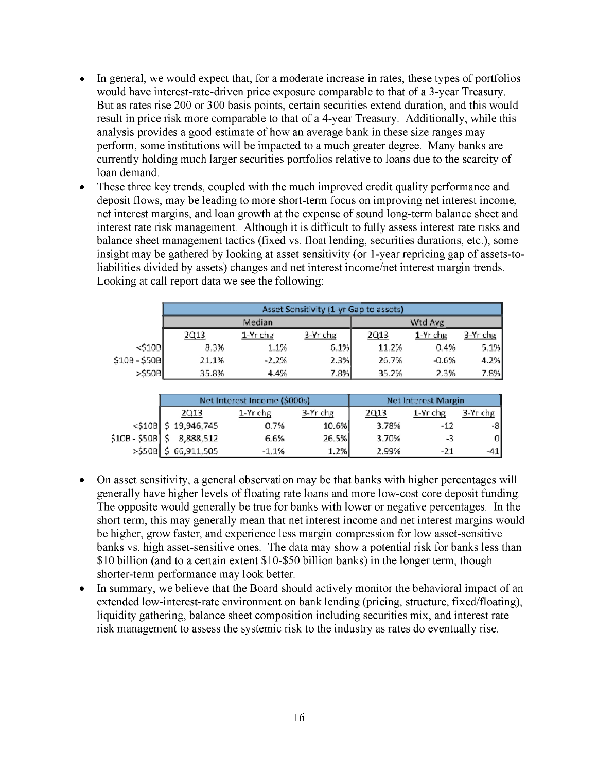- In general, we would expect that, for a moderate increase in rates, these types of portfolios  $\bullet$ would have interest-rate-driven price exposure comparable to that of a 3-year Treasury. But as rates rise 200 or 300 basis points, certain securities extend duration, and this would result in price risk more comparable to that of a 4-year Treasury. Additionally, while this analysis provides a good estimate of how an average bank in these size ranges may perform, some institutions will be impacted to a much greater degree. Many banks are currently holding much larger securities portfolios relative to loans due to the scarcity of loan demand.
- These three key trends, coupled with the much improved credit quality performance and  $\bullet$ deposit flows, may be leading to more short-term focus on improving net interest income, net interest margins, and loan growth at the expense of sound long-term balance sheet and interest rate risk management. Although it is difficult to fully assess interest rate risks and balance sheet management tactics (fixed vs. float lending, securities durations, etc.), some insight may be gathered by looking at asset sensitivity (or 1-year repricing gap of assets-toliabilities divided by assets) changes and net interest income/net interest margin trends. Looking at call report data we see the following:

|               | Asset Sensitivity (1-yr Gap to assets) |            |          |       |            |          |  |  |
|---------------|----------------------------------------|------------|----------|-------|------------|----------|--|--|
|               |                                        | Median     | Wtd Avg  |       |            |          |  |  |
|               | 2013                                   | $1-Yr$ chg | 3-Yr chg | 2Q13  | $1-Yr$ chg | 3-Yr chg |  |  |
| $<$ \$10B     | 8.3%                                   | 1.1%       | 6.1%     | 11.2% | 0.4%       | 5.1%     |  |  |
| $$10B - $50B$ | 21.1%                                  | $-2.2%$    | 2.3%     | 26.7% | $-0.6%$    | 4.2%     |  |  |
| $>$ \$50B     | 35.8%                                  | 4.4%       | 7.8%     | 35.2% | 2.3%       | 7.8%     |  |  |

|                  |                        | Net Interest Income (\$000s) | Net Interest Margin |       |          |          |
|------------------|------------------------|------------------------------|---------------------|-------|----------|----------|
|                  | <u> 2Q13</u>           | 1-Yr chg                     | 3-Yr chg            | 2Q13  | 1-Yr chg | 3-Yr chg |
|                  | $<$ \$10B \$19,946,745 | 0.7%                         | 10.6%               | 3.78% | $-12$    | -81      |
| $$10B - $50B$ \$ | 8,888,512              | 6.6%                         | 26.5%               | 3.70% | -3       | 0I       |
| $>$ \$50B        | 66,911,505             | $-1.1%$                      | 1.2%                | 2.99% | -21      |          |

- On asset sensitivity, a general observation may be that banks with higher percentages will generally have higher levels of floating rate loans and more low-cost core deposit funding. The opposite would generally be true for banks with lower or negative percentages. In the short term, this may generally mean that net interest income and net interest margins would be higher, grow faster, and experience less margin compression for low asset-sensitive banks vs. high asset-sensitive ones. The data may show a potential risk for banks less than \$10 billion (and to a certain extent \$10-\$50 billion banks) in the longer term, though shorter-term performance may look better.
- In summary, we believe that the Board should actively monitor the behavioral impact of an extended low-interest-rate environment on bank lending (pricing, structure, fixed/floating), liquidity gathering, balance sheet composition including securities mix, and interest rate risk management to assess the systemic risk to the industry as rates do eventually rise.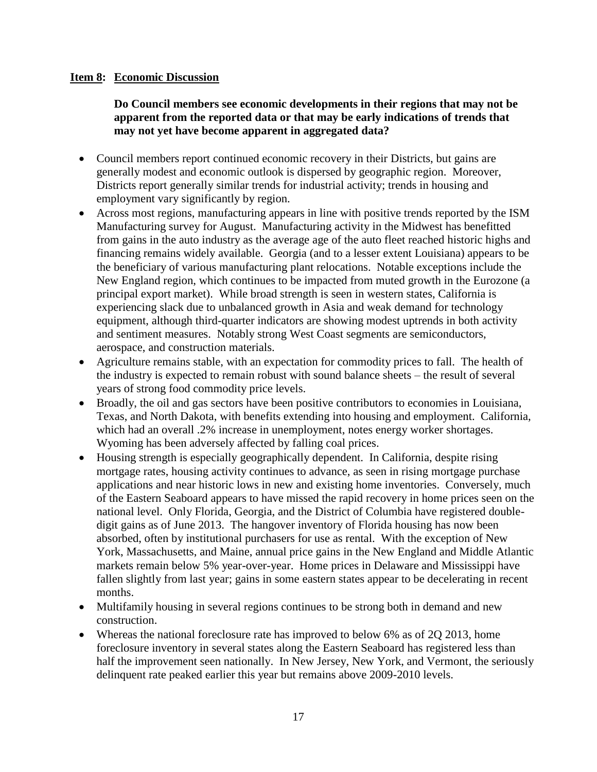### **Item 8: Economic Discussion**

**Do Council members see economic developments in their regions that may not be apparent from the reported data or that may be early indications of trends that may not yet have become apparent in aggregated data?** 

- Council members report continued economic recovery in their Districts, but gains are generally modest and economic outlook is dispersed by geographic region. Moreover, Districts report generally similar trends for industrial activity; trends in housing and employment vary significantly by region.
- Across most regions, manufacturing appears in line with positive trends reported by the ISM Manufacturing survey for August. Manufacturing activity in the Midwest has benefitted from gains in the auto industry as the average age of the auto fleet reached historic highs and financing remains widely available. Georgia (and to a lesser extent Louisiana) appears to be the beneficiary of various manufacturing plant relocations. Notable exceptions include the New England region, which continues to be impacted from muted growth in the Eurozone (a principal export market). While broad strength is seen in western states, California is experiencing slack due to unbalanced growth in Asia and weak demand for technology equipment, although third-quarter indicators are showing modest uptrends in both activity and sentiment measures. Notably strong West Coast segments are semiconductors, aerospace, and construction materials.
- Agriculture remains stable, with an expectation for commodity prices to fall. The health of the industry is expected to remain robust with sound balance sheets – the result of several years of strong food commodity price levels.
- Broadly, the oil and gas sectors have been positive contributors to economies in Louisiana, Texas, and North Dakota, with benefits extending into housing and employment. California, which had an overall .2% increase in unemployment, notes energy worker shortages. Wyoming has been adversely affected by falling coal prices.
- Housing strength is especially geographically dependent. In California, despite rising mortgage rates, housing activity continues to advance, as seen in rising mortgage purchase applications and near historic lows in new and existing home inventories. Conversely, much of the Eastern Seaboard appears to have missed the rapid recovery in home prices seen on the national level. Only Florida, Georgia, and the District of Columbia have registered doubledigit gains as of June 2013. The hangover inventory of Florida housing has now been absorbed, often by institutional purchasers for use as rental. With the exception of New York, Massachusetts, and Maine, annual price gains in the New England and Middle Atlantic markets remain below 5% year-over-year. Home prices in Delaware and Mississippi have fallen slightly from last year; gains in some eastern states appear to be decelerating in recent months.
- Multifamily housing in several regions continues to be strong both in demand and new construction.
- Whereas the national foreclosure rate has improved to below 6% as of 2Q 2013, home foreclosure inventory in several states along the Eastern Seaboard has registered less than half the improvement seen nationally. In New Jersey, New York, and Vermont, the seriously delinquent rate peaked earlier this year but remains above 2009-2010 levels.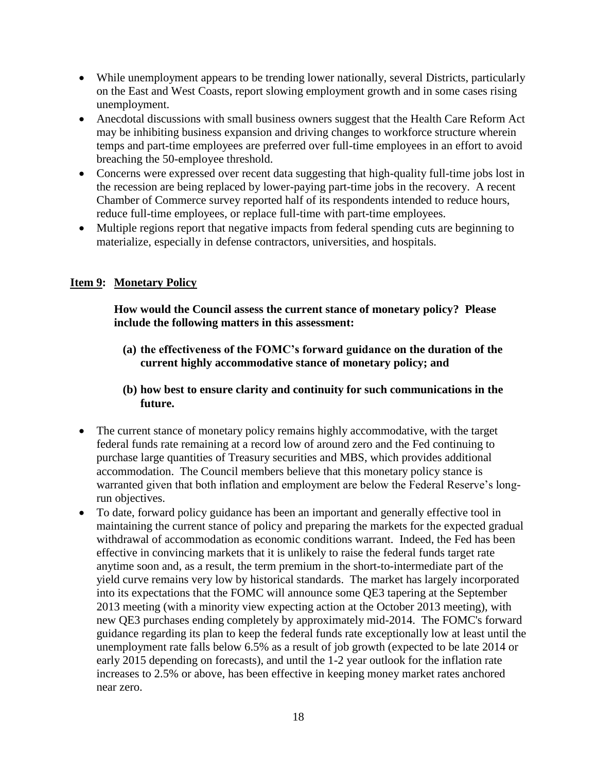- While unemployment appears to be trending lower nationally, several Districts, particularly on the East and West Coasts, report slowing employment growth and in some cases rising unemployment.
- Anecdotal discussions with small business owners suggest that the Health Care Reform Act may be inhibiting business expansion and driving changes to workforce structure wherein temps and part-time employees are preferred over full-time employees in an effort to avoid breaching the 50-employee threshold.
- Concerns were expressed over recent data suggesting that high-quality full-time jobs lost in the recession are being replaced by lower-paying part-time jobs in the recovery. A recent Chamber of Commerce survey reported half of its respondents intended to reduce hours, reduce full-time employees, or replace full-time with part-time employees.
- Multiple regions report that negative impacts from federal spending cuts are beginning to materialize, especially in defense contractors, universities, and hospitals.

## **Item 9: Monetary Policy**

**How would the Council assess the current stance of monetary policy? Please include the following matters in this assessment:** 

- **(a) the effectiveness of the FOMC's forward guidance on the duration of the current highly accommodative stance of monetary policy; and**
- **(b) how best to ensure clarity and continuity for such communications in the future.**
- The current stance of monetary policy remains highly accommodative, with the target federal funds rate remaining at a record low of around zero and the Fed continuing to purchase large quantities of Treasury securities and MBS, which provides additional accommodation. The Council members believe that this monetary policy stance is warranted given that both inflation and employment are below the Federal Reserve's longrun objectives.
- To date, forward policy guidance has been an important and generally effective tool in maintaining the current stance of policy and preparing the markets for the expected gradual withdrawal of accommodation as economic conditions warrant. Indeed, the Fed has been effective in convincing markets that it is unlikely to raise the federal funds target rate anytime soon and, as a result, the term premium in the short-to-intermediate part of the yield curve remains very low by historical standards. The market has largely incorporated into its expectations that the FOMC will announce some QE3 tapering at the September 2013 meeting (with a minority view expecting action at the October 2013 meeting), with new QE3 purchases ending completely by approximately mid-2014. The FOMC's forward guidance regarding its plan to keep the federal funds rate exceptionally low at least until the unemployment rate falls below 6.5% as a result of job growth (expected to be late 2014 or early 2015 depending on forecasts), and until the 1-2 year outlook for the inflation rate increases to 2.5% or above, has been effective in keeping money market rates anchored near zero.